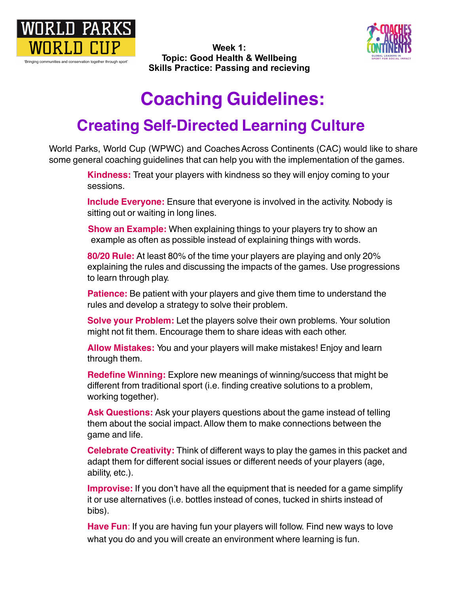



 **Skills Practice: Passing and recieving Week 1: Topic: Good Health & Wellbeing** 

## **Coaching Guidelines:**

## **Creating Self-Directed Learning Culture**

 $\overline{a}$ World Parks, World Cup (WPWC) and Coaches Across Continents (CAC) would like to share some general coaching guidelines that can help you with the implementation of the games.

> **Kindness:** Treat your players with kindness so they will enjoy coming to your sessions.

> sitting out or waiting in long lines. **Include Everyone:** Ensure that everyone is involved in the activity. Nobody is

 $\overline{a}$  example as often as possible instead of explaining things with words. **Show an Example:** When explaining things to your players try to show an

 **80/20 Rule:** At least 80% of the time your players are playing and only 20%  $\overline{a}$  to learn through play. explaining the rules and discussing the impacts of the games. Use progressions

 rules and develop a strategy to solve their problem. **Patience:** Be patient with your players and give them time to understand the

**Borve your Froblem:** Let the players sorve them own problems. It might not fit them. Encourage them to share ideas with each other. **Solve your Problem:** Let the players solve their own problems. Your solution

 **Allow Mistakes:** You and your players will make mistakes! Enjoy and learn through them.

different from traditional sport (i.e. finding creative solutions to a problem,<br>werking tegether) working together). **Redefine Winning:** Explore new meanings of winning/success that might be

them about the social impact. Allow them to make connections between the<br>same and life game and life. **Ask Questions:** Ask your players questions about the game instead of telling

adapt them for different social issues or different needs of your players (age,<br>ehility.ote \ ability, etc.). **Celebrate Creativity:** Think of different ways to play the games in this packet and

it or use alternatives (i.e. bottles instead of cones, tucked in shirts instead of<br>hibe) **Improvise:** If you don't have all the equipment that is needed for a game simplify bibs).

**Have Fun**: If you are having fun your players will follow. Find new ways to love what you do and you will create an environment where learning is fun.